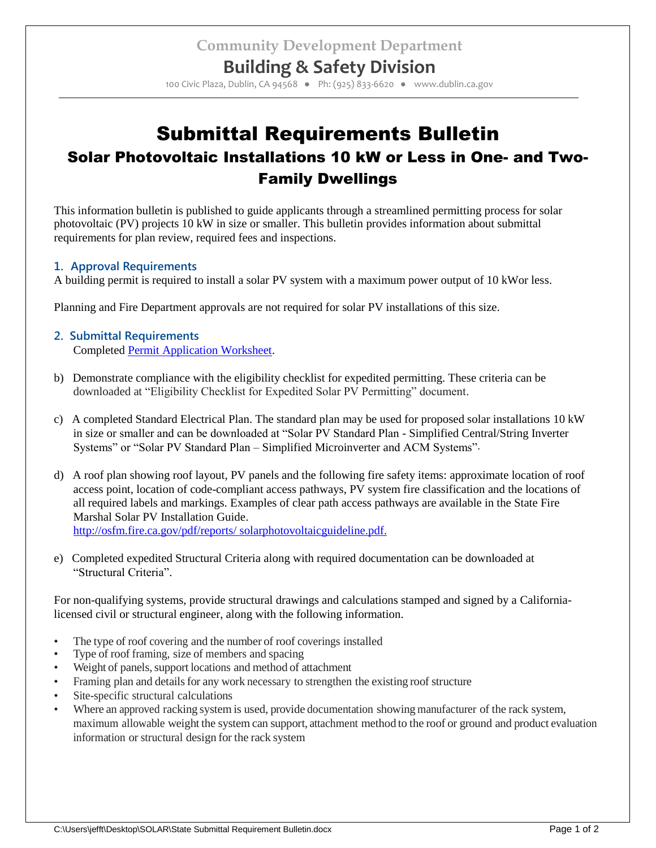## **Building & Safety Division**

100 Civic Plaza, Dublin, CA 94568 ● Ph: (925) 833-6620 ● www.dublin.ca.gov

# Submittal Requirements Bulletin Solar Photovoltaic Installations 10 kW or Less in One- and Two-Family Dwellings

This information bulletin is published to guide applicants through a streamlined permitting process for solar photovoltaic (PV) projects 10 kW in size or smaller. This bulletin provides information about submittal requirements for plan review, required fees and inspections.

#### **1. Approval Requirements**

A building permit is required to install a solar PV system with a maximum power output of 10 kWor less.

Planning and Fire Department approvals are not required for solar PV installations of this size.

#### **2. Submittal Requirements** Completed [Permit Application Worksheet.](http://www.ci.dublin.ca.us/DocumentCenter/Home/View/48)

- b) Demonstrate compliance with the eligibility checklist for expedited permitting. These criteria can be downloaded at "Eligibility Checklist for Expedited Solar PV Permitting" document.
- c) A completed Standard Electrical Plan. The standard plan may be used for proposed solar installations 10 kW in size or smaller and can be downloaded at "Solar PV Standard Plan - Simplified Central/String Inverter Systems" or "Solar PV Standard Plan – Simplified Microinverter and ACM Systems".
- d) A roof plan showing roof layout, PV panels and the following fire safety items: approximate location of roof access point, location of code-compliant access pathways, PV system fire classification and the locations of all required labels and markings. Examples of clear path access pathways are available in the State Fire Marshal Solar PV Installation Guide. <http://osfm.fire.ca.gov/pdf/reports/> solarphotovoltaicguideline.pdf.
- e) Completed expedited Structural Criteria along with required documentation can be downloaded at "Structural Criteria".

For non-qualifying systems, provide structural drawings and calculations stamped and signed by a Californialicensed civil or structural engineer, along with the following information.

- The type of roof covering and the number of roof coverings installed
- Type of roof framing, size of members and spacing
- Weight of panels, support locations and method of attachment
- Framing plan and details for any work necessary to strengthen the existing roof structure
- Site-specific structural calculations
- Where an approved racking system is used, provide documentation showing manufacturer of the rack system, maximum allowable weight the system can support, attachment method to the roof or ground and product evaluation information or structural design for the rack system